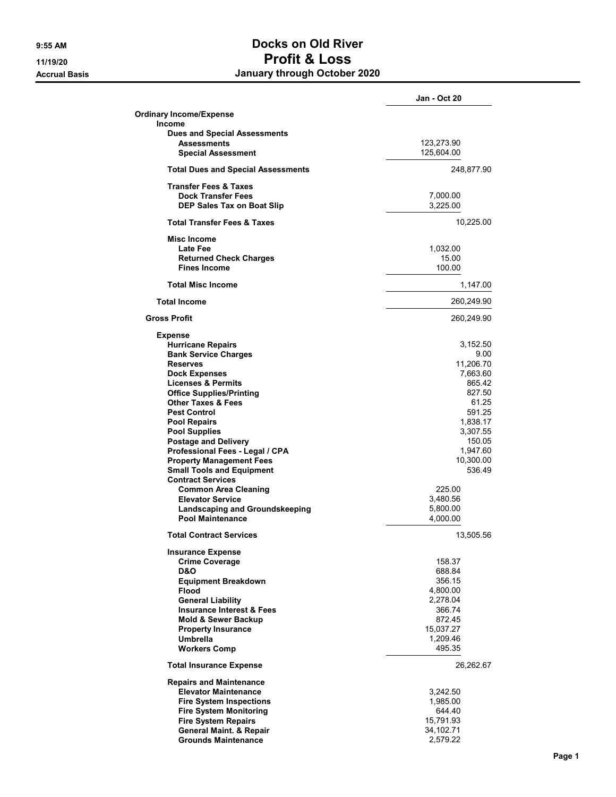## 9:55 AM Docks on Old River 11/19/20 Profit & Loss Accrual Basis **Accrual Basis January through October 2020**

|                                                           | <b>Jan - Oct 20</b>  |
|-----------------------------------------------------------|----------------------|
| <b>Ordinary Income/Expense</b>                            |                      |
| Income                                                    |                      |
| <b>Dues and Special Assessments</b><br><b>Assessments</b> | 123,273.90           |
| <b>Special Assessment</b>                                 | 125,604.00           |
|                                                           |                      |
| <b>Total Dues and Special Assessments</b>                 | 248,877.90           |
| <b>Transfer Fees &amp; Taxes</b>                          |                      |
| <b>Dock Transfer Fees</b>                                 | 7,000.00             |
| <b>DEP Sales Tax on Boat Slip</b>                         | 3,225.00             |
| <b>Total Transfer Fees &amp; Taxes</b>                    | 10,225.00            |
| Misc Income                                               |                      |
| Late Fee                                                  | 1,032.00             |
| <b>Returned Check Charges</b>                             | 15.00                |
| <b>Fines Income</b>                                       | 100.00               |
| <b>Total Misc Income</b>                                  | 1,147.00             |
| <b>Total Income</b>                                       | 260,249.90           |
| <b>Gross Profit</b>                                       | 260,249.90           |
| <b>Expense</b>                                            |                      |
| <b>Hurricane Repairs</b>                                  | 3,152.50             |
| <b>Bank Service Charges</b>                               | 9.00                 |
| <b>Reserves</b>                                           | 11,206.70            |
| <b>Dock Expenses</b>                                      | 7,663.60             |
| <b>Licenses &amp; Permits</b>                             | 865.42               |
| <b>Office Supplies/Printing</b>                           | 827.50               |
| <b>Other Taxes &amp; Fees</b><br><b>Pest Control</b>      | 61.25<br>591.25      |
| <b>Pool Repairs</b>                                       | 1,838.17             |
| <b>Pool Supplies</b>                                      | 3,307.55             |
| <b>Postage and Delivery</b>                               | 150.05               |
| Professional Fees - Legal / CPA                           | 1,947.60             |
| <b>Property Management Fees</b>                           | 10,300.00            |
| <b>Small Tools and Equipment</b>                          | 536.49               |
| <b>Contract Services</b>                                  |                      |
| <b>Common Area Cleaning</b>                               | 225.00               |
| <b>Elevator Service</b>                                   | 3,480.56             |
| Landscaping and Groundskeeping                            | 5,800.00             |
| <b>Pool Maintenance</b>                                   | 4,000.00             |
| <b>Total Contract Services</b>                            | 13,505.56            |
| <b>Insurance Expense</b>                                  |                      |
| <b>Crime Coverage</b>                                     | 158.37               |
| <b>D&amp;O</b>                                            | 688.84               |
| <b>Equipment Breakdown</b>                                | 356.15               |
| <b>Flood</b><br><b>General Liability</b>                  | 4,800.00<br>2,278.04 |
| <b>Insurance Interest &amp; Fees</b>                      | 366.74               |
| <b>Mold &amp; Sewer Backup</b>                            | 872.45               |
| <b>Property Insurance</b>                                 | 15,037.27            |
| <b>Umbrella</b>                                           | 1,209.46             |
| <b>Workers Comp</b>                                       | 495.35               |
| <b>Total Insurance Expense</b>                            | 26,262.67            |
| <b>Repairs and Maintenance</b>                            |                      |
| <b>Elevator Maintenance</b>                               | 3,242.50             |
| <b>Fire System Inspections</b>                            | 1,985.00             |
| <b>Fire System Monitoring</b>                             | 644.40               |
| <b>Fire System Repairs</b>                                | 15,791.93            |
| <b>General Maint. &amp; Repair</b>                        | 34,102.71            |
| <b>Grounds Maintenance</b>                                | 2,579.22             |